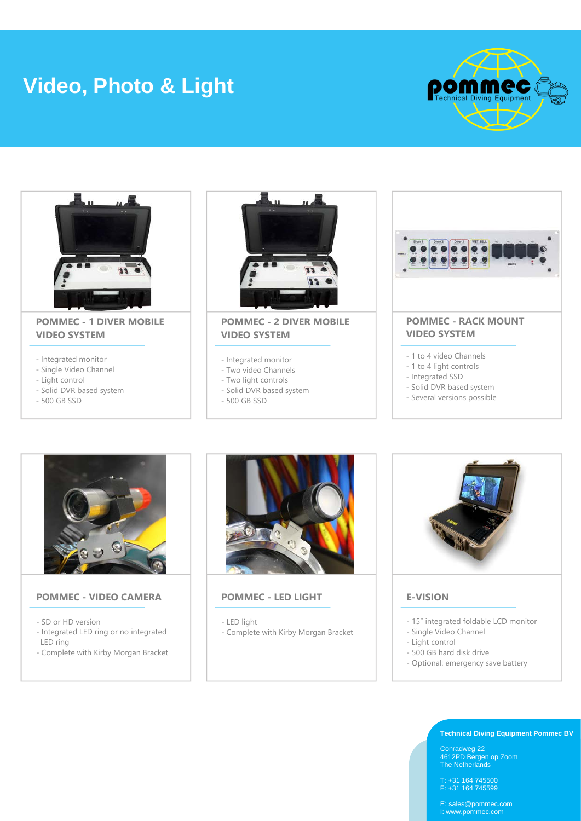# **Video, Photo & Light**





# **POMMEC - 1 DIVER MOBILE VIDEO SYSTEM**

- Integrated monitor
- Single Video Channel
- Light control
- Solid DVR based system
- 500 GB SSD



## **POMMEC - 2 DIVER MOBILE VIDEO SYSTEM**

- Integrated monitor
- Two video Channels
- Two light controls
- Solid DVR based system
- 500 GB SSD



- Several versions possible



### **POMMEC - VIDEO CAMERA**

- SD or HD version
- Integrated LED ring or no integrated LED ring
- Complete with Kirby Morgan Bracket



# **POMMEC - LED LIGHT**

- LED light
- Complete with Kirby Morgan Bracket



# **E-VISION**

- 15" integrated foldable LCD monitor
- Single Video Channel
- Light control
- 500 GB hard disk drive
- Optional: emergency save battery

**Technical Diving Equipment Pommec BV**

Conradweg 22 4612PD Bergen op Zoom The Netherlands

T: +31 164 745500 F: +31 164 745599

E: sales@pommec.com I: www.pommec.com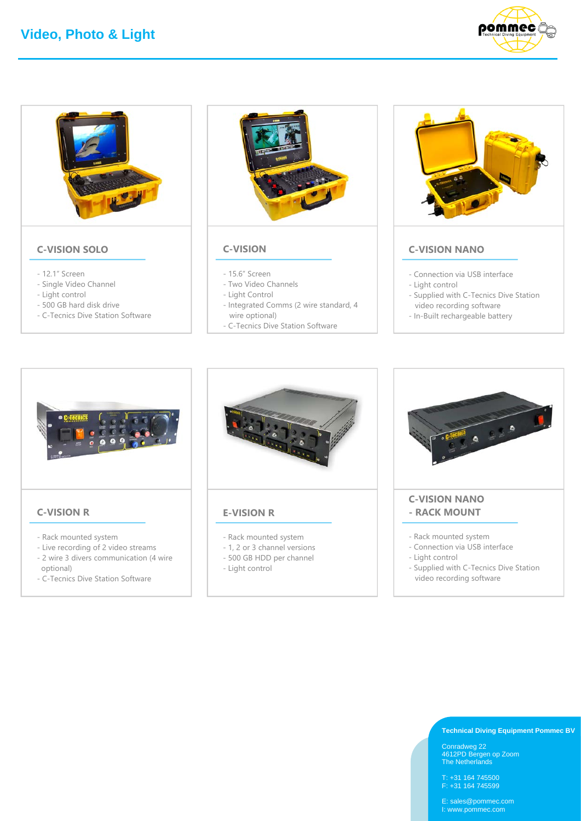



## **C-VISION SOLO**

- 12.1" Screen
- Single Video Channel
- Light control
- 500 GB hard disk drive
- C-Tecnics Dive Station Software



#### **C-VISION**

- 15.6" Screen
- Two Video Channels
- Light Control
- Integrated Comms (2 wire standard, 4
- wire optional)
- C-Tecnics Dive Station Software



# **C-VISION NANO**

- Connection via USB interface
- Light control - Supplied with C-Tecnics Dive Station
- video recording software
- In-Built rechargeable battery



#### **C-VISION R**

- Rack mounted system
- Live recording of 2 video streams
- 2 wire 3 divers communication (4 wire optional)
- C-Tecnics Dive Station Software



#### **E-VISION R**

- Rack mounted system
- 1, 2 or 3 channel versions
- 500 GB HDD per channel
- Light control



- Rack mounted system
- Connection via USB interface
- Light control
- Supplied with C-Tecnics Dive Station video recording software

#### **Technical Diving Equipment Pommec BV**

Conradweg 22 4612PD Bergen op Zoom The Netherlands

T: +31 164 745500 F: +31 164 745599

E: sales@pommec.com I: www.pommec.com